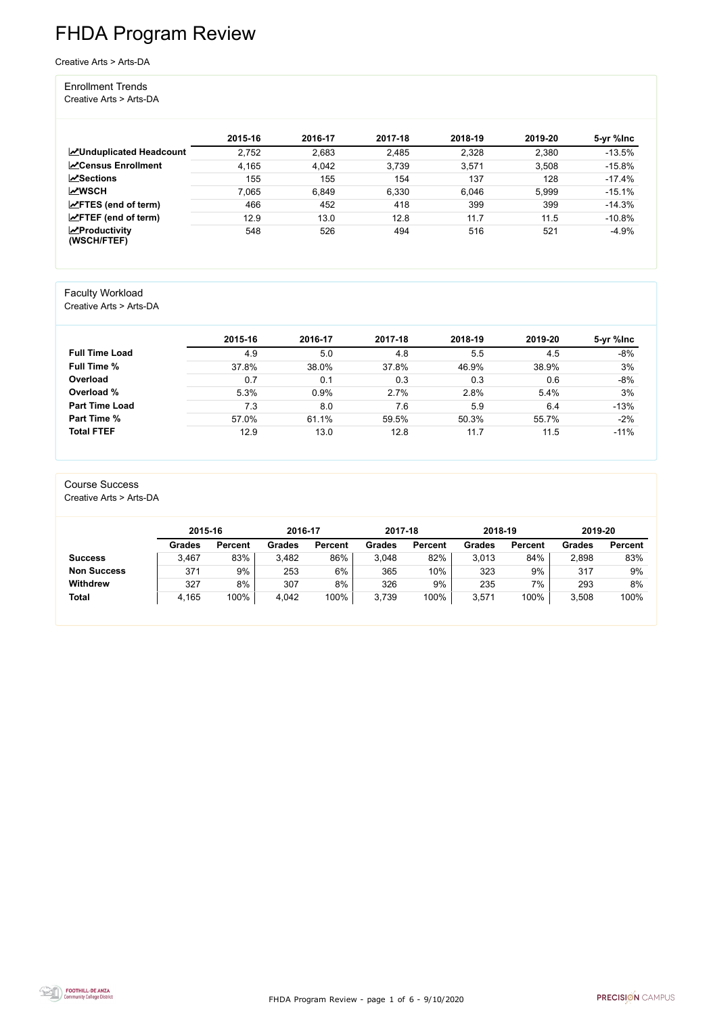FHDA Program Review - page 1 of 6 - 9/10/2020



# FHDA Program Review

Creative Arts > Arts-DA

#### Enrollment Trends

Creative Arts > Arts-DA

|                                                  | 2015-16 | 2016-17 | 2017-18 | 2018-19 | 2019-20 | 5-yr %lnc |
|--------------------------------------------------|---------|---------|---------|---------|---------|-----------|
| <b>ZUnduplicated Headcount</b>                   | 2,752   | 2,683   | 2,485   | 2,328   | 2,380   | $-13.5%$  |
| <b>∠</b> Census Enrollment                       | 4,165   | 4,042   | 3,739   | 3,571   | 3,508   | $-15.8%$  |
| <b>ZSections</b>                                 | 155     | 155     | 154     | 137     | 128     | $-17.4%$  |
| <b>MWSCH</b>                                     | 7,065   | 6,849   | 6,330   | 6,046   | 5,999   | $-15.1%$  |
| $\angle$ FTES (end of term)                      | 466     | 452     | 418     | 399     | 399     | $-14.3%$  |
| $\angle$ FTEF (end of term)                      | 12.9    | 13.0    | 12.8    | 11.7    | 11.5    | $-10.8%$  |
| $\sqrt{\frac{1}{2}}$ Productivity<br>(WSCH/FTEF) | 548     | 526     | 494     | 516     | 521     | $-4.9%$   |

#### Faculty Workload

Creative Arts > Arts-DA

|                       | 2015-16 | 2016-17 | 2017-18 | 2018-19 | 2019-20 | 5-yr %lnc |
|-----------------------|---------|---------|---------|---------|---------|-----------|
| <b>Full Time Load</b> | 4.9     | 5.0     | 4.8     | 5.5     | 4.5     | $-8%$     |
| <b>Full Time %</b>    | 37.8%   | 38.0%   | 37.8%   | 46.9%   | 38.9%   | 3%        |
| Overload              | 0.7     | 0.1     | 0.3     | 0.3     | 0.6     | $-8%$     |
| Overload %            | 5.3%    | 0.9%    | 2.7%    | 2.8%    | 5.4%    | 3%        |
| <b>Part Time Load</b> | 7.3     | 8.0     | 7.6     | 5.9     | 6.4     | $-13%$    |
| <b>Part Time %</b>    | 57.0%   | 61.1%   | 59.5%   | 50.3%   | 55.7%   | $-2%$     |
| <b>Total FTEF</b>     | 12.9    | 13.0    | 12.8    | 11.7    | 11.5    | $-11%$    |

#### Course Success

Creative Arts > Arts-DA

|                    | 2015-16       |                | 2016-17 |                | 2017-18 |                | 2018-19       |                | 2019-20       |                |
|--------------------|---------------|----------------|---------|----------------|---------|----------------|---------------|----------------|---------------|----------------|
|                    | <b>Grades</b> | <b>Percent</b> | Grades  | <b>Percent</b> | Grades  | <b>Percent</b> | <b>Grades</b> | <b>Percent</b> | <b>Grades</b> | <b>Percent</b> |
| <b>Success</b>     | 3.467         | 83%            | 3,482   | 86%            | 3,048   | 82%            | 3,013         | 84%            | 2,898         | 83%            |
| <b>Non Success</b> | 371           | 9%             | 253     | 6%             | 365     | 10%            | 323           | 9%             | 317           | 9%             |
| <b>Withdrew</b>    | 327           | 8%             | 307     | 8%             | 326     | 9%             | 235           | 7%             | 293           | 8%             |
| <b>Total</b>       | 4,165         | 100%           | 4,042   | 100%           | 3,739   | 100%           | 3,571         | 100%           | 3,508         | 100%           |

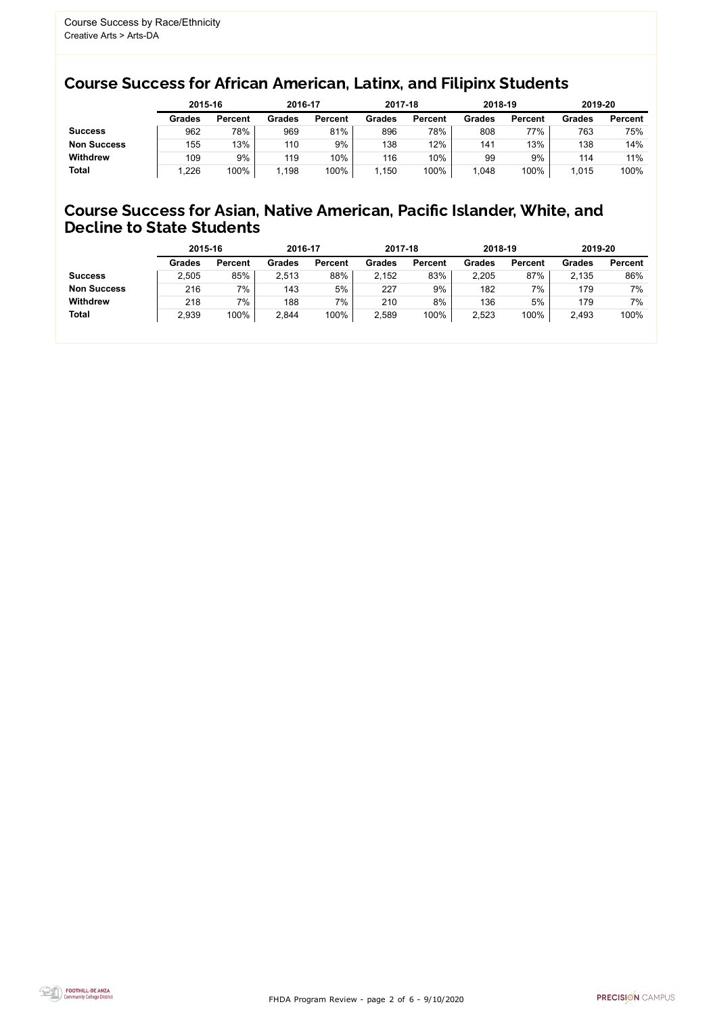FHDA Program Review - page 2 of 6 - 9/10/2020



#### Course Success for African American, Latinx, and Filipinx Students

#### Course Success for Asian, Native American, Pacific Islander, White, and Decline to State Students

|                    | 2015-16       |                | 2016-17       |                | 2017-18       |                | 2018-19       |                | 2019-20       |                |
|--------------------|---------------|----------------|---------------|----------------|---------------|----------------|---------------|----------------|---------------|----------------|
|                    | <b>Grades</b> | <b>Percent</b> | <b>Grades</b> | <b>Percent</b> | <b>Grades</b> | <b>Percent</b> | <b>Grades</b> | <b>Percent</b> | <b>Grades</b> | <b>Percent</b> |
| <b>Success</b>     | 962           | 78%            | 969           | 81%            | 896           | 78%            | 808           | 77%            | 763           | 75%            |
| <b>Non Success</b> | 155           | 13%            | 110           | 9%             | 138           | 12%            | 141           | 13%            | 138           | 14%            |
| <b>Withdrew</b>    | 109           | 9%             | 119           | 10%            | 116           | 10%            | 99            | 9%             | 114           | 11%            |
| <b>Total</b>       | ,226          | 100%           | 1,198         | 100%           | 1,150         | 100%           | 1.048         | 100%           | 1,015         | 100%           |
|                    |               |                |               |                |               |                |               |                |               |                |

|                    | 2015-16       |                | 2016-17       |                | 2017-18       |                | 2018-19       |                | 2019-20       |                |
|--------------------|---------------|----------------|---------------|----------------|---------------|----------------|---------------|----------------|---------------|----------------|
|                    | <b>Grades</b> | <b>Percent</b> | <b>Grades</b> | <b>Percent</b> | <b>Grades</b> | <b>Percent</b> | <b>Grades</b> | <b>Percent</b> | <b>Grades</b> | <b>Percent</b> |
| <b>Success</b>     | 2,505         | 85%            | 2,513         | 88%            | 2,152         | 83%            | 2,205         | 87%            | 2,135         | 86%            |
| <b>Non Success</b> | 216           | 7%             | 143           | 5%             | 227           | 9%             | 182           | 7%             | 179           | 7%             |
| <b>Withdrew</b>    | 218           | 7%             | 188           | 7%             | 210           | 8%             | 136           | 5%             | 179           | 7%             |
| <b>Total</b>       | 2,939         | 100%           | 2,844         | 100%           | 2,589         | 100%           | 2,523         | 100%           | 2,493         | 100%           |
|                    |               |                |               |                |               |                |               |                |               |                |

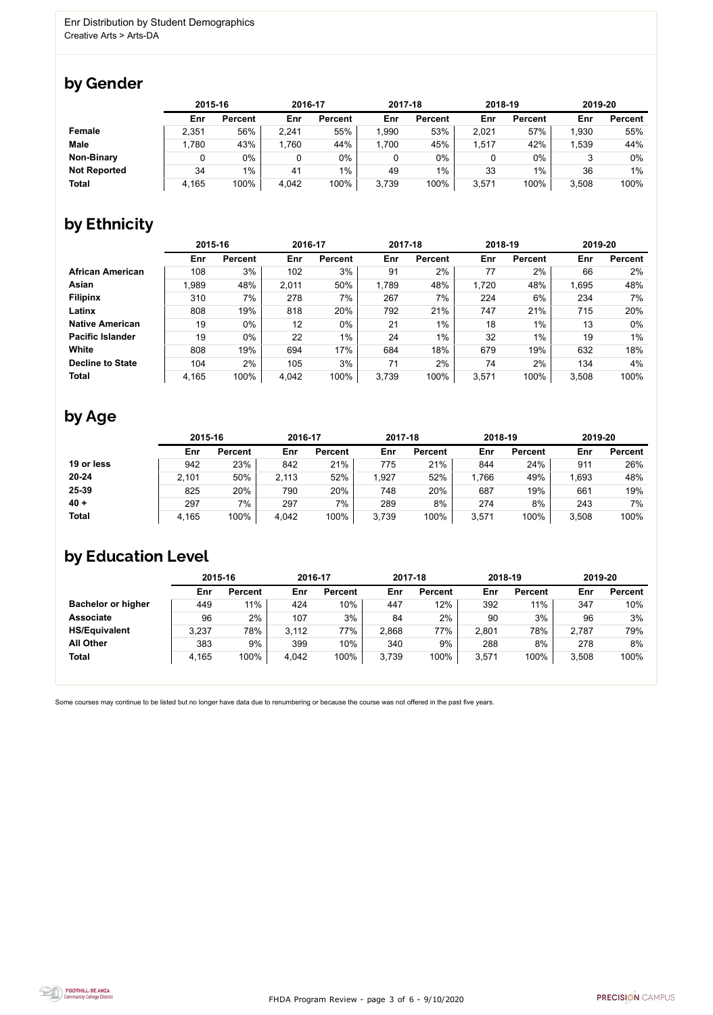FHDA Program Review - page 3 of 6 - 9/10/2020



Some courses may continue to be listed but no longer have data due to renumbering or because the course was not offered in the past five years.



## by Gender

|                     | 2015-16 |                |       | 2016-17        |       | 2017-18        |       | 2018-19        | 2019-20 |                |
|---------------------|---------|----------------|-------|----------------|-------|----------------|-------|----------------|---------|----------------|
|                     | Enr     | <b>Percent</b> | Enr   | <b>Percent</b> | Enr   | <b>Percent</b> | Enr   | <b>Percent</b> | Enr     | <b>Percent</b> |
| Female              | 2,351   | 56%            | 2,241 | 55%            | 1,990 | 53%            | 2,021 | 57%            | 1,930   | 55%            |
| <b>Male</b>         | 1,780   | 43%            | ,760  | 44%            | 1,700 | 45%            | ,517  | 42%            | 1,539   | 44%            |
| <b>Non-Binary</b>   |         | 0%             |       | $0\%$          |       | 0%             |       | $0\%$          |         | 0%             |
| <b>Not Reported</b> | 34      | $1\%$          | 41    | $1\%$          | 49    | $1\%$          | 33    | 1%             | 36      | $1\%$          |
| <b>Total</b>        | 4,165   | 100%           | 4,042 | 100%           | 3,739 | 100%           | 3,571 | 100%           | 3,508   | 100%           |

## by Ethnicity

|                         | 2015-16 |                | 2016-17 |                | 2017-18 |                | 2018-19 |                | 2019-20 |                |
|-------------------------|---------|----------------|---------|----------------|---------|----------------|---------|----------------|---------|----------------|
|                         | Enr     | <b>Percent</b> | Enr     | <b>Percent</b> | Enr     | <b>Percent</b> | Enr     | <b>Percent</b> | Enr     | <b>Percent</b> |
| <b>African American</b> | 108     | 3%             | 102     | 3%             | 91      | 2%             | 77      | 2%             | 66      | 2%             |
| <b>Asian</b>            | 1,989   | 48%            | 2,011   | 50%            | 1,789   | 48%            | 1,720   | 48%            | 1,695   | 48%            |
| <b>Filipinx</b>         | 310     | 7%             | 278     | 7%             | 267     | 7%             | 224     | 6%             | 234     | 7%             |
| Latinx                  | 808     | 19%            | 818     | 20%            | 792     | 21%            | 747     | 21%            | 715     | 20%            |
| <b>Native American</b>  | 19      | $0\%$          | 12      | 0%             | 21      | $1\%$          | 18      | 1%             | 13      | $0\%$          |
| <b>Pacific Islander</b> | 19      | $0\%$          | 22      | $1\%$          | 24      | $1\%$          | 32      | $1\%$          | 19      | 1%             |
| White                   | 808     | 19%            | 694     | 17%            | 684     | 18%            | 679     | 19%            | 632     | 18%            |
| <b>Decline to State</b> | 104     | 2%             | 105     | 3%             | 71      | 2%             | 74      | 2%             | 134     | 4%             |
| <b>Total</b>            | 4,165   | 100%           | 4,042   | 100%           | 3,739   | 100%           | 3,571   | 100%           | 3,508   | 100%           |

### by Age

|              |       | 2015-16        |       | 2016-17        |       | 2017-18        | 2018-19 |                | 2019-20 |                |
|--------------|-------|----------------|-------|----------------|-------|----------------|---------|----------------|---------|----------------|
|              | Enr   | <b>Percent</b> | Enr   | <b>Percent</b> | Enr   | <b>Percent</b> | Enr     | <b>Percent</b> | Enr     | <b>Percent</b> |
| 19 or less   | 942   | 23%            | 842   | 21%            | 775   | 21%            | 844     | 24%            | 911     | 26%            |
| $20 - 24$    | 2,101 | 50%            | 2,113 | 52%            | ,927  | 52%            | .766    | 49%            | 1,693   | 48%            |
| 25-39        | 825   | 20%            | 790   | 20%            | 748   | 20%            | 687     | 19%            | 661     | 19%            |
| $40 +$       | 297   | 7%             | 297   | 7%             | 289   | 8%             | 274     | 8%             | 243     | $7\%$          |
| <b>Total</b> | 4,165 | 100%           | 4,042 | 100%           | 3,739 | 100%           | 3,571   | 100%           | 3,508   | 100%           |

### by Education Level

|                           | 2015-16 |                |       | 2016-17        |       | 2017-18        | 2018-19 |                | 2019-20 |                |
|---------------------------|---------|----------------|-------|----------------|-------|----------------|---------|----------------|---------|----------------|
|                           | Enr     | <b>Percent</b> | Enr   | <b>Percent</b> | Enr   | <b>Percent</b> | Enr     | <b>Percent</b> | Enr     | <b>Percent</b> |
| <b>Bachelor or higher</b> | 449     | 11%            | 424   | 10%            | 447   | 12%            | 392     | 11%            | 347     | 10%            |
| <b>Associate</b>          | 96      | 2%             | 107   | 3%             | 84    | 2%             | 90      | 3%             | 96      | 3%             |
| <b>HS/Equivalent</b>      | 3,237   | 78%            | 3.112 | 77%            | 2,868 | 77%            | 2,801   | 78%            | 2,787   | 79%            |
| <b>All Other</b>          | 383     | 9%             | 399   | 10%            | 340   | 9%             | 288     | 8%             | 278     | 8%             |
| <b>Total</b>              | 4,165   | 100%           | 4,042 | 100%           | 3,739 | 100%           | 3,571   | 100%           | 3,508   | 100%           |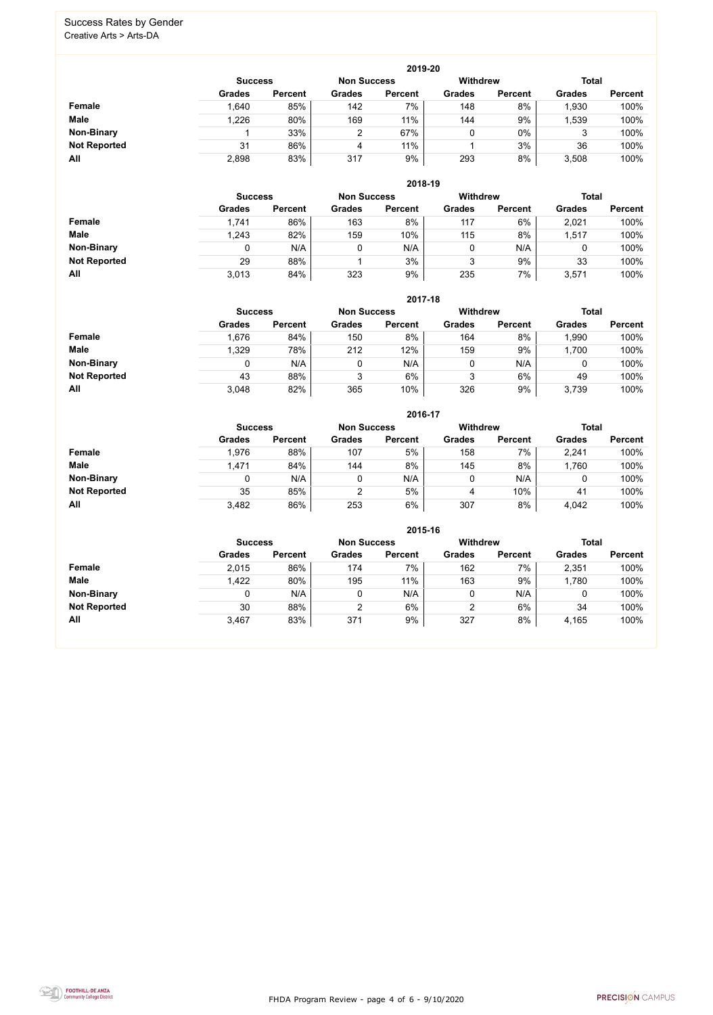FHDA Program Review - page 4 of 6 - 9/10/2020



#### Success Rates by Gender Creative Arts > Arts-DA

|                     |                | 2019-20        |                    |                |                 |                |               |                |  |  |  |  |  |  |
|---------------------|----------------|----------------|--------------------|----------------|-----------------|----------------|---------------|----------------|--|--|--|--|--|--|
|                     | <b>Success</b> |                | <b>Non Success</b> |                | <b>Withdrew</b> |                | <b>Total</b>  |                |  |  |  |  |  |  |
|                     | <b>Grades</b>  | <b>Percent</b> | <b>Grades</b>      | <b>Percent</b> | <b>Grades</b>   | <b>Percent</b> | <b>Grades</b> | <b>Percent</b> |  |  |  |  |  |  |
| Female              | 1,640          | 85%            | 142                | $7\%$          | 148             | 8%             | 1,930         | 100%           |  |  |  |  |  |  |
| <b>Male</b>         | 1,226          | 80%            | 169                | 11%            | 144             | 9%             | 1,539         | 100%           |  |  |  |  |  |  |
| <b>Non-Binary</b>   |                | 33%            | 2                  | 67%            | 0               | $0\%$          | 3             | 100%           |  |  |  |  |  |  |
| <b>Not Reported</b> | 31             | 86%            | 4                  | 11%            |                 | 3%             | 36            | 100%           |  |  |  |  |  |  |
| All                 | 2,898          | 83%            | 317                | 9%             | 293             | 8%             | 3,508         | 100%           |  |  |  |  |  |  |

|                     |               | 2018-19                              |               |                |               |                 |               |                |  |  |  |  |  |
|---------------------|---------------|--------------------------------------|---------------|----------------|---------------|-----------------|---------------|----------------|--|--|--|--|--|
|                     |               | <b>Non Success</b><br><b>Success</b> |               |                |               | <b>Withdrew</b> | <b>Total</b>  |                |  |  |  |  |  |
|                     | <b>Grades</b> | <b>Percent</b>                       | <b>Grades</b> | <b>Percent</b> | <b>Grades</b> | <b>Percent</b>  | <b>Grades</b> | <b>Percent</b> |  |  |  |  |  |
| Female              | 1,741         | 86%                                  | 163           | 8%             | 117           | 6%              | 2,021         | 100%           |  |  |  |  |  |
| <b>Male</b>         | 1,243         | 82%                                  | 159           | 10%            | 115           | 8%              | 1,517         | 100%           |  |  |  |  |  |
| <b>Non-Binary</b>   |               | N/A                                  | 0             | N/A            |               | N/A             | U             | 100%           |  |  |  |  |  |
| <b>Not Reported</b> | 29            | 88%                                  |               | 3%             | 2<br>J        | 9%              | 33            | 100%           |  |  |  |  |  |
| All                 | 3,013         | 84%                                  | 323           | 9%             | 235           | 7%              | 3,571         | 100%           |  |  |  |  |  |

|                     |               | 2017-18                              |               |                |               |                |               |                |  |  |  |  |  |
|---------------------|---------------|--------------------------------------|---------------|----------------|---------------|----------------|---------------|----------------|--|--|--|--|--|
|                     |               | <b>Non Success</b><br><b>Success</b> |               |                |               |                | <b>Total</b>  |                |  |  |  |  |  |
|                     | <b>Grades</b> | <b>Percent</b>                       | <b>Grades</b> | <b>Percent</b> | <b>Grades</b> | <b>Percent</b> | <b>Grades</b> | <b>Percent</b> |  |  |  |  |  |
| <b>Female</b>       | 1,676         | 84%                                  | 150           | 8%             | 164           | 8%             | ,990          | 100%           |  |  |  |  |  |
| <b>Male</b>         | 1,329         | 78%                                  | 212           | 12%            | 159           | 9%             | 1,700         | 100%           |  |  |  |  |  |
| <b>Non-Binary</b>   | 0             | N/A                                  | 0             | N/A            | 0             | N/A            | υ             | 100%           |  |  |  |  |  |
| <b>Not Reported</b> | 43            | 88%                                  | 3             | 6%             | 3             | 6%             | 49            | 100%           |  |  |  |  |  |
| All                 | 3,048         | 82%                                  | 365           | 10%            | 326           | 9%             | 3,739         | 100%           |  |  |  |  |  |

|                     |               |                |               | 2016-17        |               |                                 |               |                |
|---------------------|---------------|----------------|---------------|----------------|---------------|---------------------------------|---------------|----------------|
|                     |               | <b>Success</b> |               |                |               | <b>Total</b><br><b>Withdrew</b> |               |                |
|                     | <b>Grades</b> | <b>Percent</b> | <b>Grades</b> | <b>Percent</b> | <b>Grades</b> | <b>Percent</b>                  | <b>Grades</b> | <b>Percent</b> |
| <b>Female</b>       | 1,976         | 88%            | 107           | 5%             | 158           | 7%                              | 2,241         | 100%           |
| <b>Male</b>         | 1,471         | 84%            | 144           | 8%             | 145           | 8%                              | 1,760         | 100%           |
| <b>Non-Binary</b>   | 0             | N/A            |               | N/A            | 0             | N/A                             | 0             | 100%           |
| <b>Not Reported</b> | 35            | 85%            | 2             | 5%             | 4             | 10%                             | 41            | 100%           |
| All                 | 3,482         | 86%            | 253           | 6%             | 307           | 8%                              | 4,042         | 100%           |

|                     |               | 2015-16                                                                 |               |                |               |                |               |                |  |  |
|---------------------|---------------|-------------------------------------------------------------------------|---------------|----------------|---------------|----------------|---------------|----------------|--|--|
|                     |               | <b>Total</b><br><b>Withdrew</b><br><b>Non Success</b><br><b>Success</b> |               |                |               |                |               |                |  |  |
|                     | <b>Grades</b> | <b>Percent</b>                                                          | <b>Grades</b> | <b>Percent</b> | <b>Grades</b> | <b>Percent</b> | <b>Grades</b> | <b>Percent</b> |  |  |
| Female              | 2,015         | 86%                                                                     | 174           | $7\%$          | 162           | 7%             | 2,351         | 100%           |  |  |
| <b>Male</b>         | 1,422         | 80%                                                                     | 195           | 11%            | 163           | 9%             | 1,780         | 100%           |  |  |
| <b>Non-Binary</b>   | 0             | N/A                                                                     | 0             | N/A            |               | N/A            | 0             | 100%           |  |  |
| <b>Not Reported</b> | 30            | 88%                                                                     | າ             | 6%             | 2             | 6%             | 34            | 100%           |  |  |
| All                 | 3,467         | 83%                                                                     | 371           | 9%             | 327           | 8%             | 4,165         | 100%           |  |  |

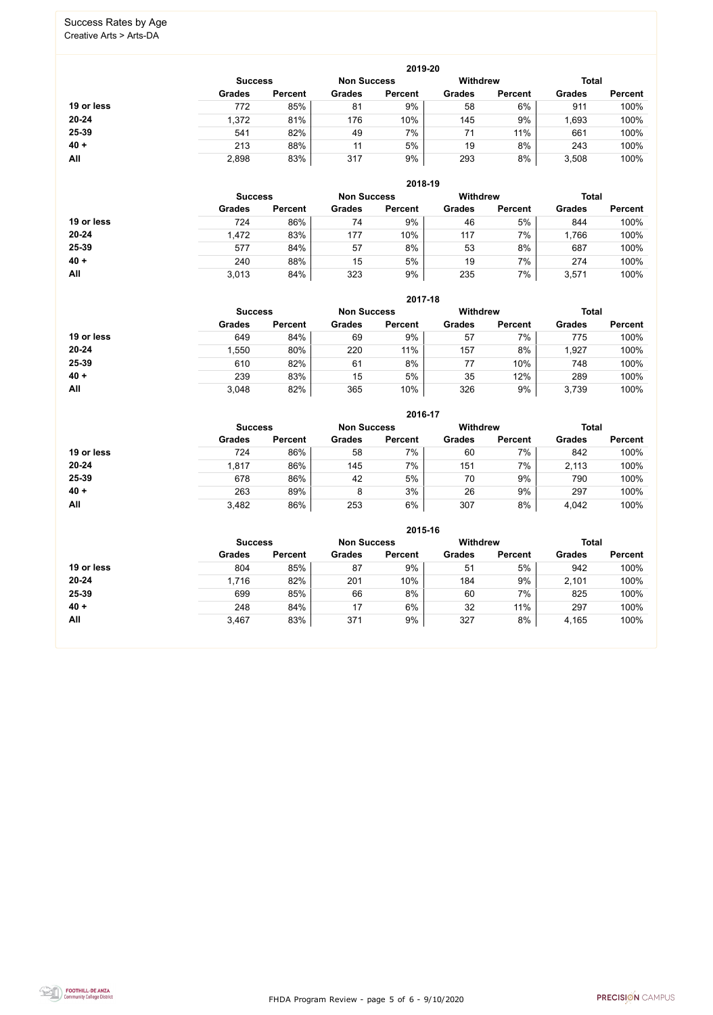FHDA Program Review - page 5 of 6 - 9/10/2020



#### Success Rates by Age Creative Arts > Arts-DA

|            |                |                    |               | 2019-20         |               |                |               |                |
|------------|----------------|--------------------|---------------|-----------------|---------------|----------------|---------------|----------------|
|            | <b>Success</b> | <b>Non Success</b> |               | <b>Withdrew</b> | <b>Total</b>  |                |               |                |
|            | <b>Grades</b>  | <b>Percent</b>     | <b>Grades</b> | <b>Percent</b>  | <b>Grades</b> | <b>Percent</b> | <b>Grades</b> | <b>Percent</b> |
| 19 or less | 772            | 85%                | 81            | 9%              | 58            | 6%             | 911           | 100%           |
| $20 - 24$  | 1,372          | 81%                | 176           | 10%             | 145           | 9%             | 1,693         | 100%           |
| 25-39      | 541            | 82%                | 49            | 7%              | 71            | 11%            | 661           | 100%           |
| $40 +$     | 213            | 88%                | 11            | 5%              | 19            | 8%             | 243           | 100%           |
| All        | 2,898          | 83%                | 317           | 9%              | 293           | 8%             | 3,508         | 100%           |

**2018-19**

|            | <b>Success</b> |                | <b>Non Success</b> |                | <b>Withdrew</b> |                | <b>Total</b>  |                |
|------------|----------------|----------------|--------------------|----------------|-----------------|----------------|---------------|----------------|
|            | <b>Grades</b>  | <b>Percent</b> | <b>Grades</b>      | <b>Percent</b> | <b>Grades</b>   | <b>Percent</b> | <b>Grades</b> | <b>Percent</b> |
| 19 or less | 724            | 86%            | 74                 | 9%             | 46              | 5%             | 844           | 100%           |
| $20 - 24$  | 1,472          | 83%            | 177                | 10%            | 117             | 7%             | 1,766         | 100%           |
| 25-39      | 577            | 84%            | 57                 | 8%             | 53              | 8%             | 687           | 100%           |
| $40 +$     | 240            | 88%            | 15                 | 5%             | 19              | 7%             | 274           | 100%           |
| All        | 3,013          | 84%            | 323                | 9%             | 235             | 7%             | 3,571         | 100%           |

|            |                                      |                |               | 2017-18        |                 |                |               |                |
|------------|--------------------------------------|----------------|---------------|----------------|-----------------|----------------|---------------|----------------|
|            | <b>Non Success</b><br><b>Success</b> |                |               |                | <b>Withdrew</b> |                | <b>Total</b>  |                |
|            | <b>Grades</b>                        | <b>Percent</b> | <b>Grades</b> | <b>Percent</b> | <b>Grades</b>   | <b>Percent</b> | <b>Grades</b> | <b>Percent</b> |
| 19 or less | 649                                  | 84%            | 69            | 9%             | 57              | 7%             | 775           | 100%           |
| 20-24      | 1,550                                | 80%            | 220           | 11%            | 157             | 8%             | 1,927         | 100%           |
| 25-39      | 610                                  | 82%            | 61            | 8%             | 77              | 10%            | 748           | 100%           |
| $40 +$     | 239                                  | 83%            | 15            | 5%             | 35              | 12%            | 289           | 100%           |
| All        | 3,048                                | 82%            | 365           | 10%            | 326             | 9%             | 3,739         | 100%           |

|            |                                      |                |               | 2016-17        |                 |                |               |                |
|------------|--------------------------------------|----------------|---------------|----------------|-----------------|----------------|---------------|----------------|
|            | <b>Non Success</b><br><b>Success</b> |                |               |                | <b>Withdrew</b> |                | <b>Total</b>  |                |
|            | <b>Grades</b>                        | <b>Percent</b> | <b>Grades</b> | <b>Percent</b> | <b>Grades</b>   | <b>Percent</b> | <b>Grades</b> | <b>Percent</b> |
| 19 or less | 724                                  | 86%            | 58            | 7%             | 60              | 7%             | 842           | 100%           |
| 20-24      | 1,817                                | 86%            | 145           | 7%             | 151             | 7%             | 2,113         | 100%           |
| 25-39      | 678                                  | 86%            | 42            | 5%             | 70              | 9%             | 790           | 100%           |
| $40 +$     | 263                                  | 89%            | 8             | 3%             | 26              | 9%             | 297           | 100%           |
| All        | 3,482                                | 86%            | 253           | 6%             | 307             | 8%             | 4,042         | 100%           |

|            |                                                         |                |               | 2015-16        |               |                |               |                |
|------------|---------------------------------------------------------|----------------|---------------|----------------|---------------|----------------|---------------|----------------|
|            | <b>Withdrew</b><br><b>Non Success</b><br><b>Success</b> |                |               |                |               |                |               |                |
|            | <b>Grades</b>                                           | <b>Percent</b> | <b>Grades</b> | <b>Percent</b> | <b>Grades</b> | <b>Percent</b> | <b>Grades</b> | <b>Percent</b> |
| 19 or less | 804                                                     | 85%            | 87            | 9%             | 51            | 5%             | 942           | 100%           |
| $20 - 24$  | 1,716                                                   | 82%            | 201           | 10%            | 184           | 9%             | 2,101         | 100%           |
| 25-39      | 699                                                     | 85%            | 66            | 8%             | 60            | 7%             | 825           | 100%           |
| $40 +$     | 248                                                     | 84%            | 17            | 6%             | 32            | 11%            | 297           | 100%           |
| All        | 3,467                                                   | 83%            | 371           | 9%             | 327           | 8%             | 4,165         | 100%           |